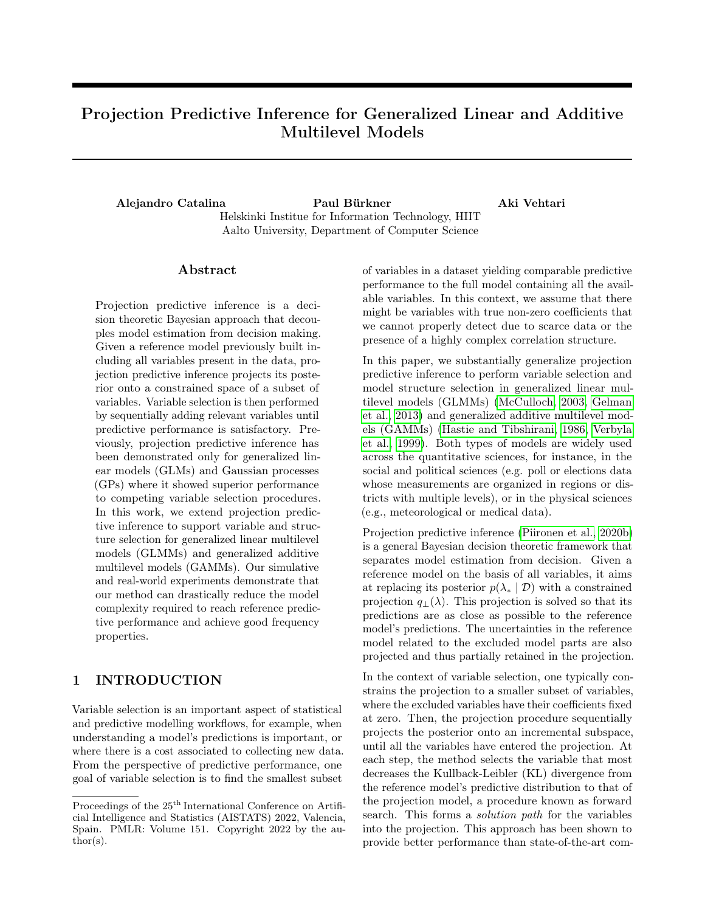# Projection Predictive Inference for Generalized Linear and Additive Multilevel Models

Alejandro Catalina Paul Bürkner Aki Vehtari Helskinki Institue for Information Technology, HIIT Aalto University, Department of Computer Science

### ${\rm Abstract}$

Projection predictive inference is a decision theoretic Bayesian approach that decouples model estimation from decision making. Given a reference model previously built including all variables present in the data, projection predictive inference projects its posterior onto a constrained space of a subset of variables. Variable selection is then performed by sequentially adding relevant variables until predictive performance is satisfactory. Previously, projection predictive inference has been demonstrated only for generalized linear models (GLMs) and Gaussian processes (GPs) where it showed superior performance to competing variable selection procedures. In this work, we extend projection predictive inference to support variable and structure selection for generalized linear multilevel models (GLMMs) and generalized additive multilevel models (GAMMs). Our simulative and real-world experiments demonstrate that our method can drastically reduce the model complexity required to reach reference predictive performance and achieve good frequency properties.

# 1 INTRODUCTION

Variable selection is an important aspect of statistical and predictive modelling workflows, for example, when understanding a model's predictions is important, or where there is a cost associated to collecting new data. From the perspective of predictive performance, one goal of variable selection is to find the smallest subset of variables in a dataset yielding comparable predictive performance to the full model containing all the available variables. In this context, we assume that there might be variables with true non-zero coefficients that we cannot properly detect due to scarce data or the presence of a highly complex correlation structure.

In this paper, we substantially generalize projection predictive inference to perform variable selection and model structure selection in generalized linear multilevel models (GLMMs) [\(McCulloch, 2003,](#page-10-0) [Gelman](#page-9-0) [et al., 2013\)](#page-9-0) and generalized additive multilevel models (GAMMs) [\(Hastie and Tibshirani, 1986,](#page-9-1) [Verbyla](#page-10-1) [et al., 1999\)](#page-10-1). Both types of models are widely used across the quantitative sciences, for instance, in the social and political sciences (e.g. poll or elections data whose measurements are organized in regions or districts with multiple levels), or in the physical sciences (e.g., meteorological or medical data).

Projection predictive inference [\(Piironen et al., 2020b\)](#page-10-2) is a general Bayesian decision theoretic framework that separates model estimation from decision. Given a reference model on the basis of all variables, it aims at replacing its posterior  $p(\lambda_* | \mathcal{D})$  with a constrained projection  $q_{\perp}(\lambda)$ . This projection is solved so that its predictions are as close as possible to the reference model's predictions. The uncertainties in the reference model related to the excluded model parts are also projected and thus partially retained in the projection.

In the context of variable selection, one typically constrains the projection to a smaller subset of variables, where the excluded variables have their coefficients fixed at zero. Then, the projection procedure sequentially projects the posterior onto an incremental subspace, until all the variables have entered the projection. At each step, the method selects the variable that most decreases the Kullback-Leibler (KL) divergence from the reference model's predictive distribution to that of the projection model, a procedure known as forward search. This forms a solution path for the variables into the projection. This approach has been shown to provide better performance than state-of-the-art com-

Proceedings of the  $25^{\text{th}}$  International Conference on Artificial Intelligence and Statistics (AISTATS) 2022, Valencia, Spain. PMLR: Volume 151. Copyright 2022 by the au- $\text{thor}(s)$ .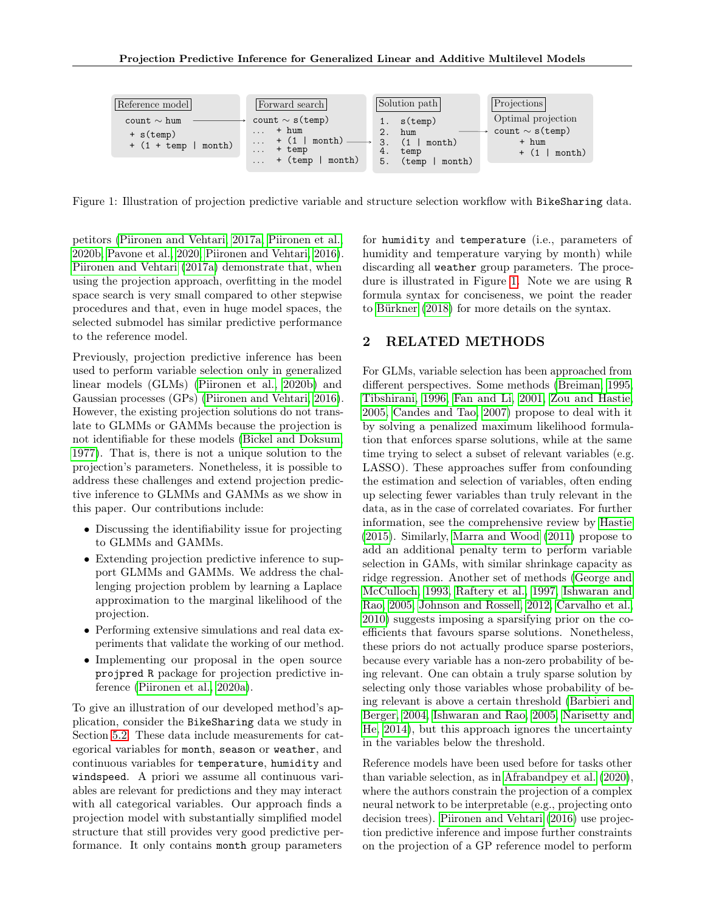<span id="page-1-0"></span>

Figure 1: Illustration of projection predictive variable and structure selection workflow with BikeSharing data.

petitors [\(Piironen and Vehtari, 2017a,](#page-10-3) [Piironen et al.,](#page-10-2) [2020b,](#page-10-2) [Pavone et al., 2020,](#page-10-4) [Piironen and Vehtari, 2016\)](#page-10-5). [Piironen and Vehtari](#page-10-3) [\(2017a\)](#page-10-3) demonstrate that, when using the projection approach, overfitting in the model space search is very small compared to other stepwise procedures and that, even in huge model spaces, the selected submodel has similar predictive performance to the reference model.

Previously, projection predictive inference has been used to perform variable selection only in generalized linear models (GLMs) [\(Piironen et al., 2020b\)](#page-10-2) and Gaussian processes (GPs) [\(Piironen and Vehtari, 2016\)](#page-10-5). However, the existing projection solutions do not translate to GLMMs or GAMMs because the projection is not identifiable for these models [\(Bickel and Doksum,](#page-8-0) [1977\)](#page-8-0). That is, there is not a unique solution to the projection's parameters. Nonetheless, it is possible to address these challenges and extend projection predictive inference to GLMMs and GAMMs as we show in this paper. Our contributions include:

- Discussing the identifiability issue for projecting to GLMMs and GAMMs.
- Extending projection predictive inference to support GLMMs and GAMMs. We address the challenging projection problem by learning a Laplace approximation to the marginal likelihood of the projection.
- Performing extensive simulations and real data experiments that validate the working of our method.
- Implementing our proposal in the open source projpred R package for projection predictive inference [\(Piironen et al., 2020a\)](#page-10-6).

To give an illustration of our developed method's application, consider the BikeSharing data we study in Section [5.2.](#page-7-0) These data include measurements for categorical variables for month, season or weather, and continuous variables for temperature, humidity and windspeed. A priori we assume all continuous variables are relevant for predictions and they may interact with all categorical variables. Our approach finds a projection model with substantially simplified model structure that still provides very good predictive performance. It only contains month group parameters for humidity and temperature (i.e., parameters of humidity and temperature varying by month) while discarding all weather group parameters. The procedure is illustrated in Figure [1.](#page-1-0) Note we are using R formula syntax for conciseness, we point the reader to [Bürkner](#page-8-1) [\(2018\)](#page-8-1) for more details on the syntax.

### 2 RELATED METHODS

For GLMs, variable selection has been approached from different perspectives. Some methods [\(Breiman, 1995,](#page-8-2) [Tibshirani, 1996,](#page-10-7) [Fan and Li, 2001,](#page-8-3) [Zou and Hastie,](#page-10-8) [2005,](#page-10-8) [Candes and Tao, 2007\)](#page-8-4) propose to deal with it by solving a penalized maximum likelihood formulation that enforces sparse solutions, while at the same time trying to select a subset of relevant variables (e.g. LASSO). These approaches suffer from confounding the estimation and selection of variables, often ending up selecting fewer variables than truly relevant in the data, as in the case of correlated covariates. For further information, see the comprehensive review by [Hastie](#page-9-2) [\(2015\)](#page-9-2). Similarly, [Marra and Wood](#page-9-3) [\(2011\)](#page-9-3) propose to add an additional penalty term to perform variable selection in GAMs, with similar shrinkage capacity as ridge regression. Another set of methods [\(George and](#page-9-4) [McCulloch, 1993,](#page-9-4) [Raftery et al., 1997,](#page-10-9) [Ishwaran and](#page-9-5) [Rao, 2005,](#page-9-5) [Johnson and Rossell, 2012,](#page-9-6) [Carvalho et al.,](#page-8-5) [2010\)](#page-8-5) suggests imposing a sparsifying prior on the coefficients that favours sparse solutions. Nonetheless, these priors do not actually produce sparse posteriors, because every variable has a non-zero probability of being relevant. One can obtain a truly sparse solution by selecting only those variables whose probability of being relevant is above a certain threshold [\(Barbieri and](#page-8-6) [Berger, 2004,](#page-8-6) [Ishwaran and Rao, 2005,](#page-9-5) [Narisetty and](#page-10-10) [He, 2014\)](#page-10-10), but this approach ignores the uncertainty in the variables below the threshold.

Reference models have been used before for tasks other than variable selection, as in [Afrabandpey et al.](#page-8-7) [\(2020\)](#page-8-7), where the authors constrain the projection of a complex neural network to be interpretable (e.g., projecting onto decision trees). [Piironen and Vehtari](#page-10-5) [\(2016\)](#page-10-5) use projection predictive inference and impose further constraints on the projection of a GP reference model to perform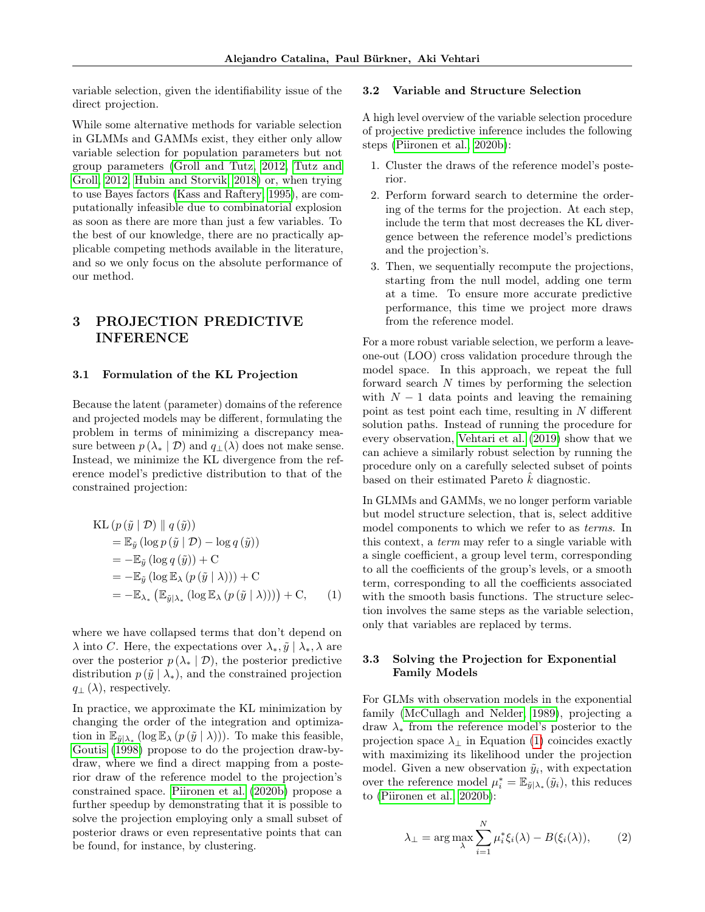variable selection, given the identifiability issue of the direct projection.

While some alternative methods for variable selection in GLMMs and GAMMs exist, they either only allow variable selection for population parameters but not group parameters [\(Groll and Tutz, 2012,](#page-9-7) [Tutz and](#page-10-11) [Groll, 2012,](#page-10-11) [Hubin and Storvik, 2018\)](#page-9-8) or, when trying to use Bayes factors [\(Kass and Raftery, 1995\)](#page-9-9), are computationally infeasible due to combinatorial explosion as soon as there are more than just a few variables. To the best of our knowledge, there are no practically applicable competing methods available in the literature, and so we only focus on the absolute performance of our method.

# 3 PROJECTION PREDICTIVE INFERENCE

### 3.1 Formulation of the KL Projection

Because the latent (parameter) domains of the reference and projected models may be different, formulating the problem in terms of minimizing a discrepancy measure between  $p(\lambda_* | \mathcal{D})$  and  $q_+(\lambda)$  does not make sense. Instead, we minimize the KL divergence from the reference model's predictive distribution to that of the constrained projection:

KL 
$$
(p(\tilde{y} \mid \mathcal{D}) \parallel q(\tilde{y}))
$$
  
\n $= \mathbb{E}_{\tilde{y}} (\log p(\tilde{y} \mid \mathcal{D}) - \log q(\tilde{y}))$   
\n $= -\mathbb{E}_{\tilde{y}} (\log q(\tilde{y})) + C$   
\n $= -\mathbb{E}_{\tilde{y}} (\log \mathbb{E}_{\lambda} (p(\tilde{y} \mid \lambda))) + C$   
\n $= -\mathbb{E}_{\lambda_*} (\mathbb{E}_{\tilde{y} \mid \lambda_*} (\log \mathbb{E}_{\lambda} (p(\tilde{y} \mid \lambda)))) + C,$  (1)

where we have collapsed terms that don't depend on  $\lambda$  into C. Here, the expectations over  $\lambda_*, \tilde{y} \mid \lambda_*, \lambda$  are over the posterior  $p(\lambda_* | \mathcal{D})$ , the posterior predictive distribution  $p(\tilde{y} | \lambda_*)$ , and the constrained projection  $q_{\perp}(\lambda)$ , respectively.

In practice, we approximate the KL minimization by changing the order of the integration and optimization in  $\mathbb{E}_{\tilde{y}|\lambda_*}(\log \mathbb{E}_{\lambda}(p(\tilde{y} \mid \lambda)))$ . To make this feasible, [Goutis](#page-9-10) [\(1998\)](#page-9-10) propose to do the projection draw-bydraw, where we find a direct mapping from a posterior draw of the reference model to the projection's constrained space. [Piironen et al.](#page-10-2) [\(2020b\)](#page-10-2) propose a further speedup by demonstrating that it is possible to solve the projection employing only a small subset of posterior draws or even representative points that can be found, for instance, by clustering.

### 3.2 Variable and Structure Selection

A high level overview of the variable selection procedure of projective predictive inference includes the following steps [\(Piironen et al., 2020b\)](#page-10-2):

- 1. Cluster the draws of the reference model's posterior.
- 2. Perform forward search to determine the ordering of the terms for the projection. At each step, include the term that most decreases the KL divergence between the reference model's predictions and the projection's.
- 3. Then, we sequentially recompute the projections, starting from the null model, adding one term at a time. To ensure more accurate predictive performance, this time we project more draws from the reference model.

For a more robust variable selection, we perform a leaveone-out (LOO) cross validation procedure through the model space. In this approach, we repeat the full forward search N times by performing the selection with  $N-1$  data points and leaving the remaining point as test point each time, resulting in  $N$  different solution paths. Instead of running the procedure for every observation, [Vehtari et al.](#page-10-12) [\(2019\)](#page-10-12) show that we can achieve a similarly robust selection by running the procedure only on a carefully selected subset of points based on their estimated Pareto  $\hat{k}$  diagnostic.

In GLMMs and GAMMs, we no longer perform variable but model structure selection, that is, select additive model components to which we refer to as terms. In this context, a term may refer to a single variable with a single coefficient, a group level term, corresponding to all the coefficients of the group's levels, or a smooth term, corresponding to all the coefficients associated with the smooth basis functions. The structure selection involves the same steps as the variable selection, only that variables are replaced by terms.

### <span id="page-2-0"></span>3.3 Solving the Projection for Exponential Family Models

For GLMs with observation models in the exponential family [\(McCullagh and Nelder, 1989\)](#page-9-11), projecting a draw  $\lambda_*$  from the reference model's posterior to the projection space  $\lambda_{\perp}$  in Equation [\(1\)](#page-2-0) coincides exactly with maximizing its likelihood under the projection model. Given a new observation  $\tilde{y}_i$ , with expectation over the reference model  $\mu_i^* = \mathbb{E}_{\tilde{y}|\lambda_*}(\tilde{y}_i)$ , this reduces to [\(Piironen et al., 2020b\)](#page-10-2):

<span id="page-2-1"></span>
$$
\lambda_{\perp} = \arg \max_{\lambda} \sum_{i=1}^{N} \mu_{i}^{*} \xi_{i}(\lambda) - B(\xi_{i}(\lambda)), \qquad (2)
$$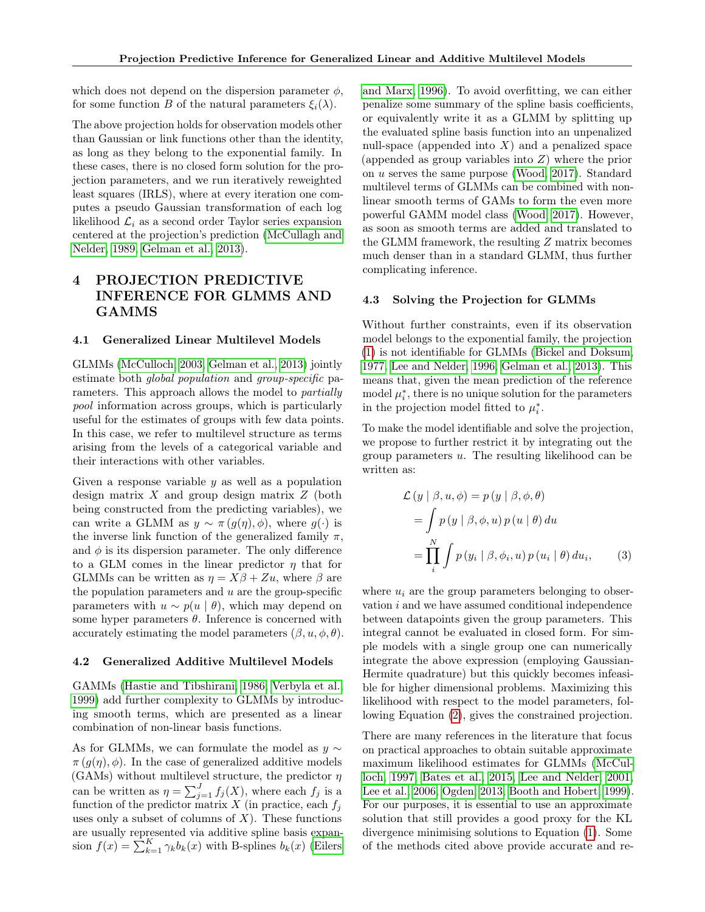which does not depend on the dispersion parameter  $\phi$ . for some function B of the natural parameters  $\xi_i(\lambda)$ .

The above projection holds for observation models other than Gaussian or link functions other than the identity, as long as they belong to the exponential family. In these cases, there is no closed form solution for the projection parameters, and we run iteratively reweighted least squares (IRLS), where at every iteration one computes a pseudo Gaussian transformation of each log likelihood  $\mathcal{L}_i$  as a second order Taylor series expansion centered at the projection's prediction [\(McCullagh and](#page-9-11) [Nelder, 1989,](#page-9-11) [Gelman et al., 2013\)](#page-9-0).

# 4 PROJECTION PREDICTIVE INFERENCE FOR GLMMS AND GAMMS

### 4.1 Generalized Linear Multilevel Models

GLMMs [\(McCulloch, 2003,](#page-10-0) [Gelman et al., 2013\)](#page-9-0) jointly estimate both global population and group-specific parameters. This approach allows the model to partially pool information across groups, which is particularly useful for the estimates of groups with few data points. In this case, we refer to multilevel structure as terms arising from the levels of a categorical variable and their interactions with other variables.

Given a response variable  $y$  as well as a population design matrix  $X$  and group design matrix  $Z$  (both being constructed from the predicting variables), we can write a GLMM as  $y \sim \pi(g(\eta), \phi)$ , where  $g(\cdot)$  is the inverse link function of the generalized family  $\pi$ , and  $\phi$  is its dispersion parameter. The only difference to a GLM comes in the linear predictor  $\eta$  that for GLMMs can be written as  $\eta = X\beta + Zu$ , where  $\beta$  are the population parameters and  $u$  are the group-specific parameters with  $u \sim p(u \mid \theta)$ , which may depend on some hyper parameters  $\theta$ . Inference is concerned with accurately estimating the model parameters  $(\beta, u, \phi, \theta)$ .

#### 4.2 Generalized Additive Multilevel Models

GAMMs [\(Hastie and Tibshirani, 1986,](#page-9-1) [Verbyla et al.,](#page-10-1) [1999\)](#page-10-1) add further complexity to GLMMs by introducing smooth terms, which are presented as a linear combination of non-linear basis functions.

As for GLMMs, we can formulate the model as  $y \sim$  $\pi(g(\eta), \phi)$ . In the case of generalized additive models (GAMs) without multilevel structure, the predictor  $\eta$ can be written as  $\eta = \sum_{j=1}^{J} f_j(X)$ , where each  $f_j$  is a function of the predictor matrix  $X$  (in practice, each  $f_j$ uses only a subset of columns of  $X$ ). These functions are usually represented via additive spline basis expansion  $f(x) = \sum_{k=1}^{K} \gamma_k b_k(x)$  with B-splines  $b_k(x)$  [\(Eilers](#page-8-8) [and Marx, 1996\)](#page-8-8). To avoid overfitting, we can either penalize some summary of the spline basis coefficients, or equivalently write it as a GLMM by splitting up the evaluated spline basis function into an unpenalized null-space (appended into  $X$ ) and a penalized space (appended as group variables into  $Z$ ) where the prior on u serves the same purpose [\(Wood, 2017\)](#page-10-13). Standard multilevel terms of GLMMs can be combined with nonlinear smooth terms of GAMs to form the even more powerful GAMM model class [\(Wood, 2017\)](#page-10-13). However, as soon as smooth terms are added and translated to the GLMM framework, the resulting Z matrix becomes much denser than in a standard GLMM, thus further complicating inference.

#### 4.3 Solving the Projection for GLMMs

Without further constraints, even if its observation model belongs to the exponential family, the projection [\(1\)](#page-2-0) is not identifiable for GLMMs [\(Bickel and Doksum,](#page-8-0) [1977,](#page-8-0) [Lee and Nelder, 1996,](#page-9-12) [Gelman et al., 2013\)](#page-9-0). This means that, given the mean prediction of the reference model  $\mu_i^*$ , there is no unique solution for the parameters in the projection model fitted to  $\mu_i^*$ .

To make the model identifiable and solve the projection, we propose to further restrict it by integrating out the group parameters  $u$ . The resulting likelihood can be written as:

<span id="page-3-0"></span>
$$
\mathcal{L}(y | \beta, u, \phi) = p(y | \beta, \phi, \theta)
$$
  
= 
$$
\int p(y | \beta, \phi, u) p(u | \theta) du
$$
  
= 
$$
\prod_{i}^{N} \int p(y_i | \beta, \phi_i, u) p(u_i | \theta) du_i,
$$
 (3)

where  $u_i$  are the group parameters belonging to observation i and we have assumed conditional independence between datapoints given the group parameters. This integral cannot be evaluated in closed form. For simple models with a single group one can numerically integrate the above expression (employing Gaussian-Hermite quadrature) but this quickly becomes infeasible for higher dimensional problems. Maximizing this likelihood with respect to the model parameters, following Equation [\(2\)](#page-2-1), gives the constrained projection.

There are many references in the literature that focus on practical approaches to obtain suitable approximate maximum likelihood estimates for GLMMs [\(McCul](#page-9-13)[loch, 1997,](#page-9-13) [Bates et al., 2015,](#page-8-9) [Lee and Nelder, 2001,](#page-9-14) [Lee et al., 2006,](#page-9-15) [Ogden, 2013,](#page-10-14) [Booth and Hobert, 1999\)](#page-8-10). For our purposes, it is essential to use an approximate solution that still provides a good proxy for the KL divergence minimising solutions to Equation [\(1\)](#page-2-0). Some of the methods cited above provide accurate and re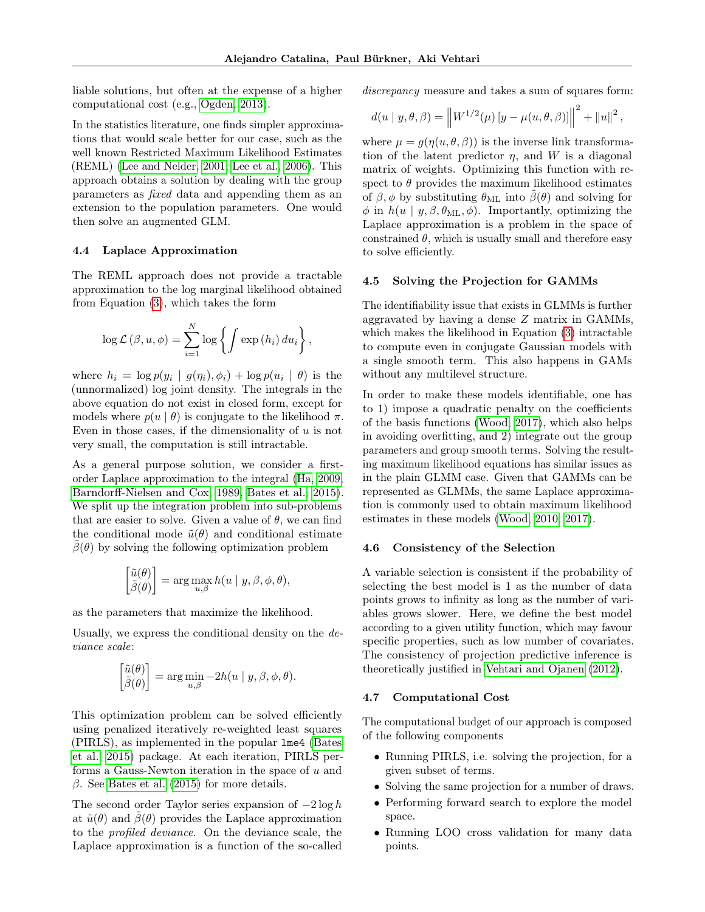liable solutions, but often at the expense of a higher computational cost (e.g., [Ogden, 2013\)](#page-10-14).

In the statistics literature, one finds simpler approximations that would scale better for our case, such as the well known Restricted Maximum Likelihood Estimates (REML) [\(Lee and Nelder, 2001,](#page-9-14) [Lee et al., 2006\)](#page-9-15). This approach obtains a solution by dealing with the group parameters as fixed data and appending them as an extension to the population parameters. One would then solve an augmented GLM.

#### 4.4 Laplace Approximation

The REML approach does not provide a tractable approximation to the log marginal likelihood obtained from Equation [\(3\)](#page-3-0), which takes the form

$$
\log \mathcal{L}(\beta, u, \phi) = \sum_{i=1}^{N} \log \left\{ \int \exp(h_i) \, du_i \right\},\,
$$

where  $h_i = \log p(y_i | g(\eta_i), \phi_i) + \log p(u_i | \theta)$  is the (unnormalized) log joint density. The integrals in the above equation do not exist in closed form, except for models where  $p(u | \theta)$  is conjugate to the likelihood  $\pi$ . Even in those cases, if the dimensionality of  $u$  is not very small, the computation is still intractable.

As a general purpose solution, we consider a firstorder Laplace approximation to the integral [\(Ha, 2009,](#page-9-16) [Barndorff-Nielsen and Cox, 1989,](#page-8-11) [Bates et al., 2015\)](#page-8-9). We split up the integration problem into sub-problems that are easier to solve. Given a value of  $\theta$ , we can find the conditional mode  $\tilde{u}(\theta)$  and conditional estimate  $\beta(\theta)$  by solving the following optimization problem

$$
\begin{bmatrix} \tilde{u}(\theta) \\ \tilde{\beta}(\theta) \end{bmatrix} = \arg \max_{u,\beta} h(u \mid y, \beta, \phi, \theta),
$$

as the parameters that maximize the likelihood.

Usually, we express the conditional density on the deviance scale:

$$
\begin{bmatrix} \tilde{u}(\theta) \\ \tilde{\beta}(\theta) \end{bmatrix} = \arg \min_{u,\beta} -2h(u \mid y, \beta, \phi, \theta).
$$

This optimization problem can be solved efficiently using penalized iteratively re-weighted least squares (PIRLS), as implemented in the popular lme4 [\(Bates](#page-8-9) [et al., 2015\)](#page-8-9) package. At each iteration, PIRLS performs a Gauss-Newton iteration in the space of  $u$  and  $β$ . See [Bates et al.](#page-8-9) [\(2015\)](#page-8-9) for more details.

The second order Taylor series expansion of  $-2 \log h$ at  $\tilde{u}(\theta)$  and  $\beta(\theta)$  provides the Laplace approximation to the profiled deviance. On the deviance scale, the Laplace approximation is a function of the so-called discrepancy measure and takes a sum of squares form:

$$
d(u | y, \theta, \beta) = ||W^{1/2}(\mu) [y - \mu(u, \theta, \beta)]||^{2} + ||u||^{2},
$$

where  $\mu = g(\eta(u, \theta, \beta))$  is the inverse link transformation of the latent predictor  $\eta$ , and W is a diagonal matrix of weights. Optimizing this function with respect to  $\theta$  provides the maximum likelihood estimates of  $\beta$ ,  $\phi$  by substituting  $\theta_{ML}$  into  $\beta(\theta)$  and solving for  $\phi$  in  $h(u \mid y, \beta, \theta_{ML}, \phi)$ . Importantly, optimizing the Laplace approximation is a problem in the space of constrained  $\theta$ , which is usually small and therefore easy to solve efficiently.

#### 4.5 Solving the Projection for GAMMs

The identifiability issue that exists in GLMMs is further aggravated by having a dense Z matrix in GAMMs, which makes the likelihood in Equation [\(3\)](#page-3-0) intractable to compute even in conjugate Gaussian models with a single smooth term. This also happens in GAMs without any multilevel structure.

In order to make these models identifiable, one has to 1) impose a quadratic penalty on the coefficients of the basis functions [\(Wood, 2017\)](#page-10-13), which also helps in avoiding overfitting, and 2) integrate out the group parameters and group smooth terms. Solving the resulting maximum likelihood equations has similar issues as in the plain GLMM case. Given that GAMMs can be represented as GLMMs, the same Laplace approximation is commonly used to obtain maximum likelihood estimates in these models [\(Wood, 2010,](#page-10-15) [2017\)](#page-10-13).

#### 4.6 Consistency of the Selection

A variable selection is consistent if the probability of selecting the best model is 1 as the number of data points grows to infinity as long as the number of variables grows slower. Here, we define the best model according to a given utility function, which may favour specific properties, such as low number of covariates. The consistency of projection predictive inference is theoretically justified in [Vehtari and Ojanen](#page-10-16) [\(2012\)](#page-10-16).

### 4.7 Computational Cost

The computational budget of our approach is composed of the following components

- Running PIRLS, i.e. solving the projection, for a given subset of terms.
- Solving the same projection for a number of draws.
- Performing forward search to explore the model space.
- Running LOO cross validation for many data points.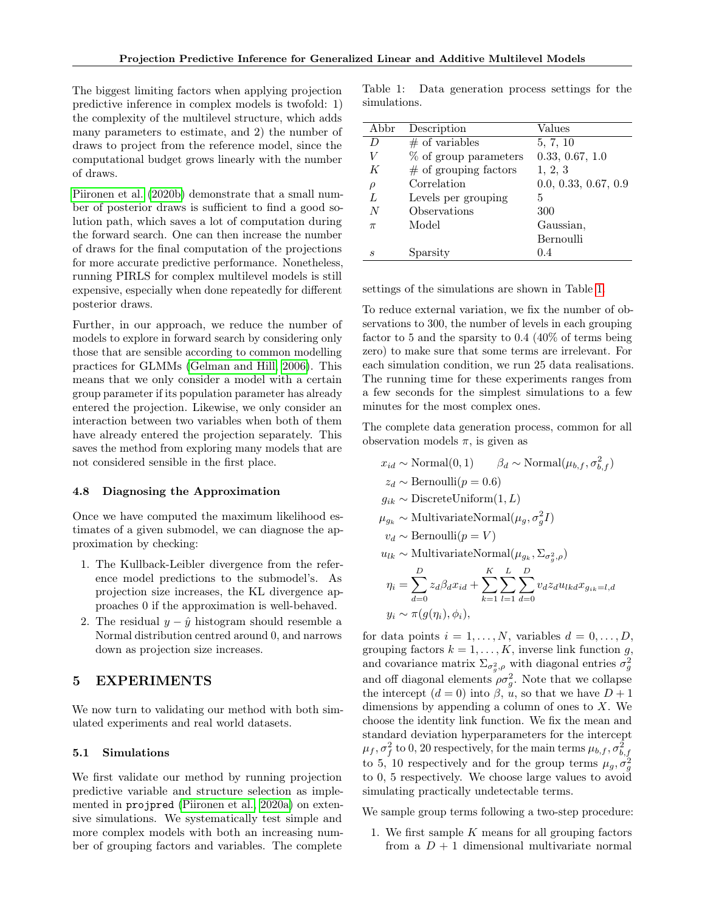The biggest limiting factors when applying projection predictive inference in complex models is twofold: 1) the complexity of the multilevel structure, which adds many parameters to estimate, and 2) the number of draws to project from the reference model, since the computational budget grows linearly with the number of draws.

[Piironen et al.](#page-10-2) [\(2020b\)](#page-10-2) demonstrate that a small number of posterior draws is sufficient to find a good solution path, which saves a lot of computation during the forward search. One can then increase the number of draws for the final computation of the projections for more accurate predictive performance. Nonetheless, running PIRLS for complex multilevel models is still expensive, especially when done repeatedly for different posterior draws.

Further, in our approach, we reduce the number of models to explore in forward search by considering only those that are sensible according to common modelling practices for GLMMs [\(Gelman and Hill, 2006\)](#page-9-17). This means that we only consider a model with a certain group parameter if its population parameter has already entered the projection. Likewise, we only consider an interaction between two variables when both of them have already entered the projection separately. This saves the method from exploring many models that are not considered sensible in the first place.

#### 4.8 Diagnosing the Approximation

Once we have computed the maximum likelihood estimates of a given submodel, we can diagnose the approximation by checking:

- 1. The Kullback-Leibler divergence from the reference model predictions to the submodel's. As projection size increases, the KL divergence approaches 0 if the approximation is well-behaved.
- 2. The residual  $y \hat{y}$  histogram should resemble a Normal distribution centred around 0, and narrows down as projection size increases.

### 5 EXPERIMENTS

We now turn to validating our method with both simulated experiments and real world datasets.

### 5.1 Simulations

We first validate our method by running projection predictive variable and structure selection as implemented in projpred [\(Piironen et al., 2020a\)](#page-10-6) on extensive simulations. We systematically test simple and more complex models with both an increasing number of grouping factors and variables. The complete

<span id="page-5-0"></span>Table 1: Data generation process settings for the simulations.

| Abbr   | Description              | Values               |
|--------|--------------------------|----------------------|
| D      | $#$ of variables         | 5, 7, 10             |
| V      | % of group parameters    | 0.33, 0.67, 1.0      |
| K      | $\#$ of grouping factors | 1, 2, 3              |
| $\rho$ | Correlation              | 0.0, 0.33, 0.67, 0.9 |
| L      | Levels per grouping      | 5                    |
| N      | Observations             | 300                  |
| $\pi$  | Model                    | Gaussian,            |
|        |                          | Bernoulli            |
| S      | Sparsity                 | 0.4                  |

settings of the simulations are shown in Table [1.](#page-5-0)

To reduce external variation, we fix the number of observations to 300, the number of levels in each grouping factor to 5 and the sparsity to 0.4 (40% of terms being zero) to make sure that some terms are irrelevant. For each simulation condition, we run 25 data realisations. The running time for these experiments ranges from a few seconds for the simplest simulations to a few minutes for the most complex ones.

The complete data generation process, common for all observation models  $\pi$ , is given as

$$
x_{id} \sim \text{Normal}(0, 1) \qquad \beta_d \sim \text{Normal}(\mu_{b,f}, \sigma_{b,f}^2)
$$
  
\n
$$
z_d \sim \text{Bernoulli}(p = 0.6)
$$
  
\n
$$
g_{ik} \sim \text{DiscreteUniform}(1, L)
$$
  
\n
$$
\mu_{g_k} \sim \text{MultivariateNormal}(\mu_g, \sigma_g^2 I)
$$
  
\n
$$
v_d \sim \text{Bernoulli}(p = V)
$$
  
\n
$$
u_{lk} \sim \text{MultivariateNormal}(\mu_{g_k}, \Sigma_{\sigma_g^2, \rho})
$$
  
\n
$$
\eta_i = \sum_{d=0}^{D} z_d \beta_d x_{id} + \sum_{k=1}^{K} \sum_{l=1}^{L} \sum_{d=0}^{D} v_d z_d u_{lkd} x_{g_{ik}=l, d}
$$
  
\n
$$
y_i \sim \pi(g(\eta_i), \phi_i),
$$

for data points  $i = 1, \ldots, N$ , variables  $d = 0, \ldots, D$ , grouping factors  $k = 1, ..., K$ , inverse link function g, and covariance matrix  $\Sigma_{\sigma_g^2,\rho}$  with diagonal entries  $\sigma_g^2$ and off diagonal elements  $\rho \sigma_g^2$ . Note that we collapse the intercept  $(d = 0)$  into  $\beta$ , u, so that we have  $D + 1$ dimensions by appending a column of ones to  $X$ . We choose the identity link function. We fix the mean and standard deviation hyperparameters for the intercept  $\mu_f, \sigma_f^2$  to 0, 20 respectively, for the main terms  $\mu_{b,f}, \sigma_{b,f}^2$ to 5, 10 respectively and for the group terms  $\mu_g, \sigma_g^2$ to 0, 5 respectively. We choose large values to avoid simulating practically undetectable terms.

We sample group terms following a two-step procedure:

1. We first sample K means for all grouping factors from a  $D+1$  dimensional multivariate normal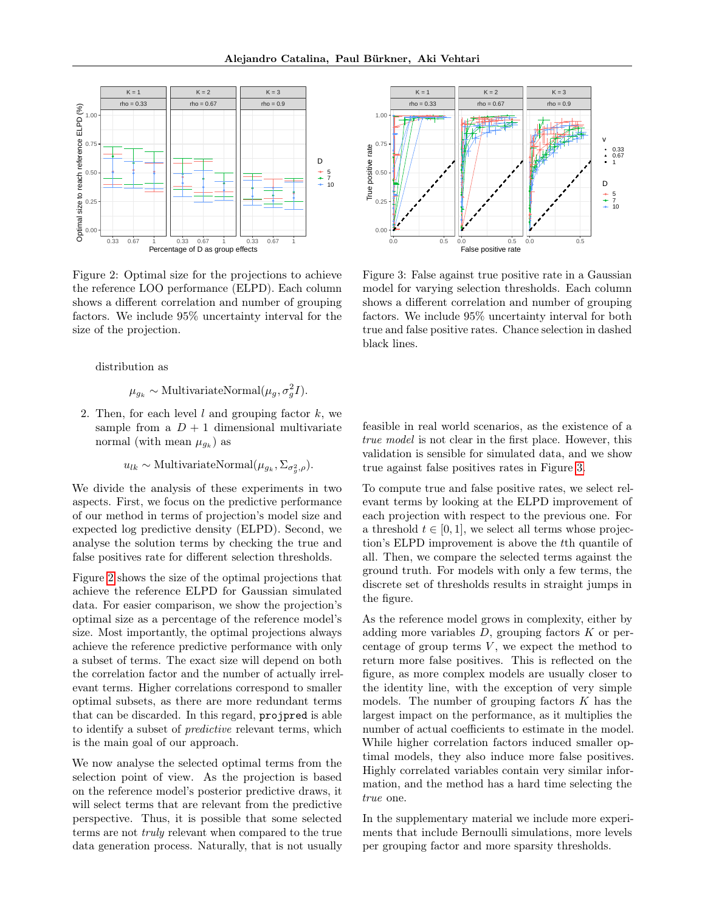<span id="page-6-0"></span>

Figure 2: Optimal size for the projections to achieve the reference LOO performance (ELPD). Each column shows a different correlation and number of grouping factors. We include 95% uncertainty interval for the size of the projection.

distribution as

 $\mu_{g_k} \sim \text{MultivariateNormal}(\mu_g, \sigma_g^2 I).$ 

2. Then, for each level  $l$  and grouping factor  $k$ , we sample from a  $D + 1$  dimensional multivariate normal (with mean  $\mu_{g_k}$ ) as

 $u_{lk} \sim \text{MultivariateNormal}(\mu_{g_k}, \Sigma_{\sigma_g^2, \rho}).$ 

We divide the analysis of these experiments in two aspects. First, we focus on the predictive performance of our method in terms of projection's model size and expected log predictive density (ELPD). Second, we analyse the solution terms by checking the true and false positives rate for different selection thresholds.

Figure [2](#page-6-0) shows the size of the optimal projections that achieve the reference ELPD for Gaussian simulated data. For easier comparison, we show the projection's optimal size as a percentage of the reference model's size. Most importantly, the optimal projections always achieve the reference predictive performance with only a subset of terms. The exact size will depend on both the correlation factor and the number of actually irrelevant terms. Higher correlations correspond to smaller optimal subsets, as there are more redundant terms that can be discarded. In this regard, projpred is able to identify a subset of predictive relevant terms, which is the main goal of our approach.

We now analyse the selected optimal terms from the selection point of view. As the projection is based on the reference model's posterior predictive draws, it will select terms that are relevant from the predictive perspective. Thus, it is possible that some selected terms are not truly relevant when compared to the true data generation process. Naturally, that is not usually

<span id="page-6-1"></span>

Figure 3: False against true positive rate in a Gaussian model for varying selection thresholds. Each column shows a different correlation and number of grouping factors. We include 95% uncertainty interval for both true and false positive rates. Chance selection in dashed black lines.

feasible in real world scenarios, as the existence of a true model is not clear in the first place. However, this validation is sensible for simulated data, and we show true against false positives rates in Figure [3.](#page-6-1)

To compute true and false positive rates, we select relevant terms by looking at the ELPD improvement of each projection with respect to the previous one. For a threshold  $t \in [0, 1]$ , we select all terms whose projection's ELPD improvement is above the tth quantile of all. Then, we compare the selected terms against the ground truth. For models with only a few terms, the discrete set of thresholds results in straight jumps in the figure.

As the reference model grows in complexity, either by adding more variables  $D$ , grouping factors  $K$  or percentage of group terms  $V$ , we expect the method to return more false positives. This is reflected on the figure, as more complex models are usually closer to the identity line, with the exception of very simple models. The number of grouping factors  $K$  has the largest impact on the performance, as it multiplies the number of actual coefficients to estimate in the model. While higher correlation factors induced smaller optimal models, they also induce more false positives. Highly correlated variables contain very similar information, and the method has a hard time selecting the true one.

In the supplementary material we include more experiments that include Bernoulli simulations, more levels per grouping factor and more sparsity thresholds.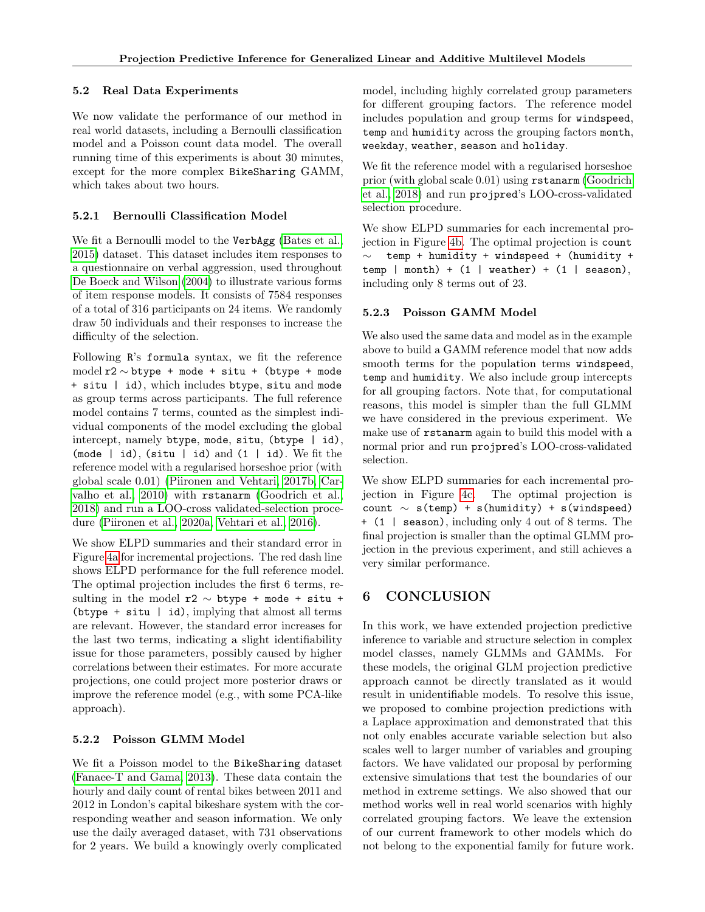### <span id="page-7-0"></span>5.2 Real Data Experiments

We now validate the performance of our method in real world datasets, including a Bernoulli classification model and a Poisson count data model. The overall running time of this experiments is about 30 minutes, except for the more complex BikeSharing GAMM, which takes about two hours.

### 5.2.1 Bernoulli Classification Model

We fit a Bernoulli model to the VerbAgg [\(Bates et al.,](#page-8-9) [2015\)](#page-8-9) dataset. This dataset includes item responses to a questionnaire on verbal aggression, used throughout [De Boeck and Wilson](#page-8-12) [\(2004\)](#page-8-12) to illustrate various forms of item response models. It consists of 7584 responses of a total of 316 participants on 24 items. We randomly draw 50 individuals and their responses to increase the difficulty of the selection.

Following R's formula syntax, we fit the reference model  $r2 \sim b$ type + mode + situ + (btype + mode + situ | id), which includes btype, situ and mode as group terms across participants. The full reference model contains 7 terms, counted as the simplest individual components of the model excluding the global intercept, namely btype, mode, situ, (btype | id), (mode  $|$  id), (situ  $|$  id) and (1  $|$  id). We fit the reference model with a regularised horseshoe prior (with global scale 0.01) [\(Piironen and Vehtari, 2017b,](#page-10-17) [Car](#page-8-5)[valho et al., 2010\)](#page-8-5) with rstanarm [\(Goodrich et al.,](#page-9-18) [2018\)](#page-9-18) and run a LOO-cross validated-selection procedure [\(Piironen et al., 2020a,](#page-10-6) [Vehtari et al., 2016\)](#page-10-18).

We show ELPD summaries and their standard error in Figure [4a](#page-8-13) for incremental projections. The red dash line shows ELPD performance for the full reference model. The optimal projection includes the first 6 terms, resulting in the model r2  $\sim$  btype + mode + situ + (btype  $+$  situ  $|$  id), implying that almost all terms are relevant. However, the standard error increases for the last two terms, indicating a slight identifiability issue for those parameters, possibly caused by higher correlations between their estimates. For more accurate projections, one could project more posterior draws or improve the reference model (e.g., with some PCA-like approach).

### 5.2.2 Poisson GLMM Model

We fit a Poisson model to the BikeSharing dataset [\(Fanaee-T and Gama, 2013\)](#page-9-19). These data contain the hourly and daily count of rental bikes between 2011 and 2012 in London's capital bikeshare system with the corresponding weather and season information. We only use the daily averaged dataset, with 731 observations for 2 years. We build a knowingly overly complicated model, including highly correlated group parameters for different grouping factors. The reference model includes population and group terms for windspeed, temp and humidity across the grouping factors month, weekday, weather, season and holiday.

We fit the reference model with a regularised horseshoe prior (with global scale 0.01) using rstanarm [\(Goodrich](#page-9-18) [et al., 2018\)](#page-9-18) and run projpred's LOO-cross-validated selection procedure.

We show ELPD summaries for each incremental projection in Figure [4b.](#page-8-13) The optimal projection is count ∼ temp + humidity + windspeed + (humidity +  $temp \mid month) + (1 \mid weather) + (1 \mid season),$ including only 8 terms out of 23.

### 5.2.3 Poisson GAMM Model

We also used the same data and model as in the example above to build a GAMM reference model that now adds smooth terms for the population terms windspeed, temp and humidity. We also include group intercepts for all grouping factors. Note that, for computational reasons, this model is simpler than the full GLMM we have considered in the previous experiment. We make use of rstanarm again to build this model with a normal prior and run projpred's LOO-cross-validated selection.

We show ELPD summaries for each incremental projection in Figure [4c.](#page-8-13) The optimal projection is count  $\sim$  s(temp) + s(humidity) + s(windspeed) + (1 | season), including only 4 out of 8 terms. The final projection is smaller than the optimal GLMM projection in the previous experiment, and still achieves a very similar performance.

# 6 CONCLUSION

In this work, we have extended projection predictive inference to variable and structure selection in complex model classes, namely GLMMs and GAMMs. For these models, the original GLM projection predictive approach cannot be directly translated as it would result in unidentifiable models. To resolve this issue, we proposed to combine projection predictions with a Laplace approximation and demonstrated that this not only enables accurate variable selection but also scales well to larger number of variables and grouping factors. We have validated our proposal by performing extensive simulations that test the boundaries of our method in extreme settings. We also showed that our method works well in real world scenarios with highly correlated grouping factors. We leave the extension of our current framework to other models which do not belong to the exponential family for future work.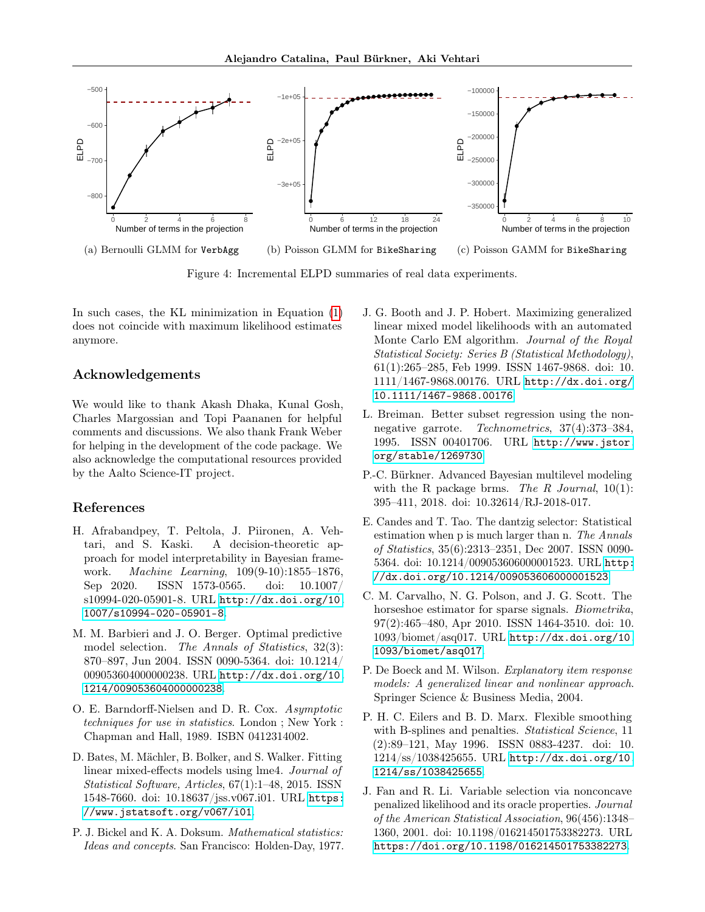<span id="page-8-13"></span>

Figure 4: Incremental ELPD summaries of real data experiments.

In such cases, the KL minimization in Equation [\(1\)](#page-2-0) does not coincide with maximum likelihood estimates anymore.

### Acknowledgements

We would like to thank Akash Dhaka, Kunal Gosh, Charles Margossian and Topi Paananen for helpful comments and discussions. We also thank Frank Weber for helping in the development of the code package. We also acknowledge the computational resources provided by the Aalto Science-IT project.

### References

- <span id="page-8-7"></span>H. Afrabandpey, T. Peltola, J. Piironen, A. Vehtari, and S. Kaski. A decision-theoretic approach for model interpretability in Bayesian framework. Machine Learning, 109(9-10):1855–1876, Sep 2020. ISSN 1573-0565. doi: 10.1007/ s10994-020-05901-8. URL [http://dx.doi.org/10.](http://dx.doi.org/10.1007/s10994-020-05901-8) [1007/s10994-020-05901-8](http://dx.doi.org/10.1007/s10994-020-05901-8).
- <span id="page-8-6"></span>M. M. Barbieri and J. O. Berger. Optimal predictive model selection. The Annals of Statistics, 32(3): 870–897, Jun 2004. ISSN 0090-5364. doi: 10.1214/ 009053604000000238. URL [http://dx.doi.org/10.](http://dx.doi.org/10.1214/009053604000000238) [1214/009053604000000238](http://dx.doi.org/10.1214/009053604000000238).
- <span id="page-8-11"></span>O. E. Barndorff-Nielsen and D. R. Cox. Asymptotic techniques for use in statistics. London ; New York : Chapman and Hall, 1989. ISBN 0412314002.
- <span id="page-8-9"></span>D. Bates, M. Mächler, B. Bolker, and S. Walker. Fitting linear mixed-effects models using lme4. Journal of Statistical Software, Articles, 67(1):1–48, 2015. ISSN 1548-7660. doi: 10.18637/jss.v067.i01. URL [https:](https://www.jstatsoft.org/v067/i01) [//www.jstatsoft.org/v067/i01](https://www.jstatsoft.org/v067/i01).
- <span id="page-8-0"></span>P. J. Bickel and K. A. Doksum. Mathematical statistics: Ideas and concepts. San Francisco: Holden-Day, 1977.
- <span id="page-8-10"></span>J. G. Booth and J. P. Hobert. Maximizing generalized linear mixed model likelihoods with an automated Monte Carlo EM algorithm. Journal of the Royal Statistical Society: Series B (Statistical Methodology), 61(1):265–285, Feb 1999. ISSN 1467-9868. doi: 10. 1111/1467-9868.00176. URL [http://dx.doi.org/](http://dx.doi.org/10.1111/1467-9868.00176) [10.1111/1467-9868.00176](http://dx.doi.org/10.1111/1467-9868.00176).
- <span id="page-8-2"></span>L. Breiman. Better subset regression using the nonnegative garrote. Technometrics, 37(4):373–384, 1995. ISSN 00401706. URL [http://www.jstor.](http://www.jstor.org/stable/1269730) [org/stable/1269730](http://www.jstor.org/stable/1269730).
- <span id="page-8-1"></span>P.-C. Bürkner. Advanced Bayesian multilevel modeling with the R package brms. The R Journal,  $10(1)$ : 395–411, 2018. doi: 10.32614/RJ-2018-017.
- <span id="page-8-4"></span>E. Candes and T. Tao. The dantzig selector: Statistical estimation when p is much larger than n. The Annals of Statistics, 35(6):2313–2351, Dec 2007. ISSN 0090- 5364. doi: 10.1214/009053606000001523. URL [http:](http://dx.doi.org/10.1214/009053606000001523) [//dx.doi.org/10.1214/009053606000001523](http://dx.doi.org/10.1214/009053606000001523).
- <span id="page-8-5"></span>C. M. Carvalho, N. G. Polson, and J. G. Scott. The horseshoe estimator for sparse signals. *Biometrika*, 97(2):465–480, Apr 2010. ISSN 1464-3510. doi: 10. 1093/biomet/asq017. URL [http://dx.doi.org/10.](http://dx.doi.org/10.1093/biomet/asq017) [1093/biomet/asq017](http://dx.doi.org/10.1093/biomet/asq017).
- <span id="page-8-12"></span>P. De Boeck and M. Wilson. Explanatory item response models: A generalized linear and nonlinear approach. Springer Science & Business Media, 2004.
- <span id="page-8-8"></span>P. H. C. Eilers and B. D. Marx. Flexible smoothing with B-splines and penalties. Statistical Science, 11 (2):89–121, May 1996. ISSN 0883-4237. doi: 10. 1214/ss/1038425655. URL [http://dx.doi.org/10.](http://dx.doi.org/10.1214/ss/1038425655) [1214/ss/1038425655](http://dx.doi.org/10.1214/ss/1038425655).
- <span id="page-8-3"></span>J. Fan and R. Li. Variable selection via nonconcave penalized likelihood and its oracle properties. Journal of the American Statistical Association, 96(456):1348– 1360, 2001. doi: 10.1198/016214501753382273. URL <https://doi.org/10.1198/016214501753382273>.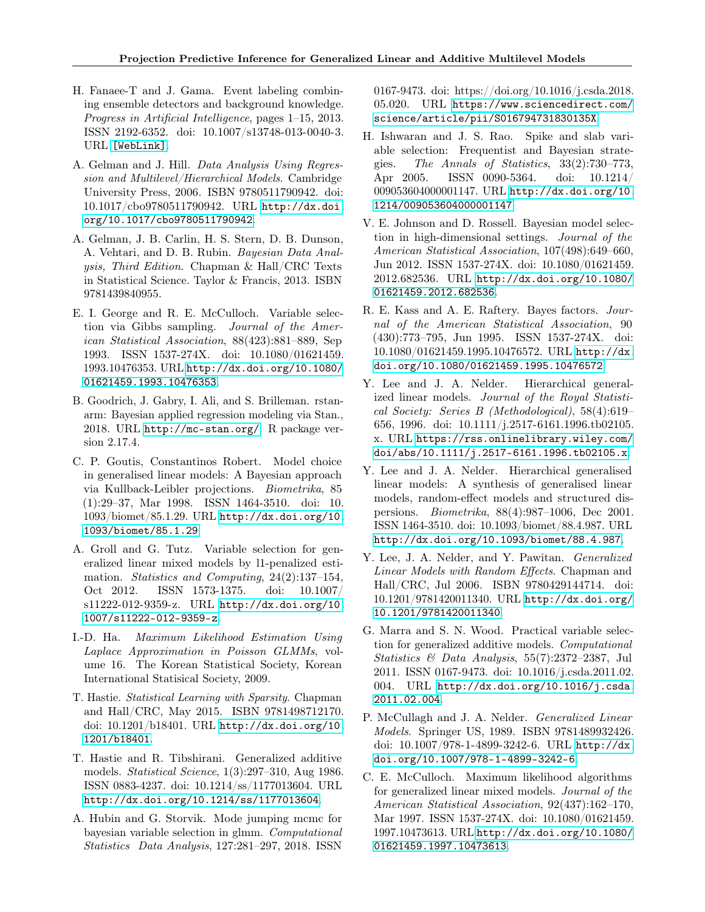- <span id="page-9-19"></span>H. Fanaee-T and J. Gama. Event labeling combining ensemble detectors and background knowledge. Progress in Artificial Intelligence, pages 1–15, 2013. ISSN 2192-6352. doi: 10.1007/s13748-013-0040-3. URL [\[WebLink\]]([Web Link]).
- <span id="page-9-17"></span>A. Gelman and J. Hill. Data Analysis Using Regression and Multilevel/Hierarchical Models. Cambridge University Press, 2006. ISBN 9780511790942. doi: 10.1017/cbo9780511790942. URL [http://dx.doi.](http://dx.doi.org/10.1017/cbo9780511790942) [org/10.1017/cbo9780511790942](http://dx.doi.org/10.1017/cbo9780511790942).
- <span id="page-9-0"></span>A. Gelman, J. B. Carlin, H. S. Stern, D. B. Dunson, A. Vehtari, and D. B. Rubin. Bayesian Data Analysis, Third Edition. Chapman & Hall/CRC Texts in Statistical Science. Taylor & Francis, 2013. ISBN 9781439840955.
- <span id="page-9-4"></span>E. I. George and R. E. McCulloch. Variable selection via Gibbs sampling. Journal of the American Statistical Association, 88(423):881–889, Sep 1993. ISSN 1537-274X. doi: 10.1080/01621459. 1993.10476353. URL [http://dx.doi.org/10.1080/](http://dx.doi.org/10.1080/01621459.1993.10476353) [01621459.1993.10476353](http://dx.doi.org/10.1080/01621459.1993.10476353).
- <span id="page-9-18"></span>B. Goodrich, J. Gabry, I. Ali, and S. Brilleman. rstanarm: Bayesian applied regression modeling via Stan., 2018. URL <http://mc-stan.org/>. R package version 2.17.4.
- <span id="page-9-10"></span>C. P. Goutis, Constantinos Robert. Model choice in generalised linear models: A Bayesian approach via Kullback-Leibler projections. Biometrika, 85 (1):29–37, Mar 1998. ISSN 1464-3510. doi: 10. 1093/biomet/85.1.29. URL [http://dx.doi.org/10.](http://dx.doi.org/10.1093/biomet/85.1.29) [1093/biomet/85.1.29](http://dx.doi.org/10.1093/biomet/85.1.29).
- <span id="page-9-7"></span>A. Groll and G. Tutz. Variable selection for generalized linear mixed models by l1-penalized estimation. *Statistics and Computing*, 24(2):137–154, Oct 2012. ISSN 1573-1375. doi: 10.1007/ s11222-012-9359-z. URL [http://dx.doi.org/10.](http://dx.doi.org/10.1007/s11222-012-9359-z) [1007/s11222-012-9359-z](http://dx.doi.org/10.1007/s11222-012-9359-z).
- <span id="page-9-16"></span>I.-D. Ha. Maximum Likelihood Estimation Using Laplace Approximation in Poisson GLMMs, volume 16. The Korean Statistical Society, Korean International Statisical Society, 2009.
- <span id="page-9-2"></span>T. Hastie. Statistical Learning with Sparsity. Chapman and Hall/CRC, May 2015. ISBN 9781498712170. doi: 10.1201/b18401. URL [http://dx.doi.org/10.](http://dx.doi.org/10.1201/b18401) [1201/b18401](http://dx.doi.org/10.1201/b18401).
- <span id="page-9-1"></span>T. Hastie and R. Tibshirani. Generalized additive models. Statistical Science, 1(3):297–310, Aug 1986. ISSN 0883-4237. doi: 10.1214/ss/1177013604. URL <http://dx.doi.org/10.1214/ss/1177013604>.
- <span id="page-9-8"></span>A. Hubin and G. Storvik. Mode jumping mcmc for bayesian variable selection in glmm. Computational Statistics Data Analysis, 127:281–297, 2018. ISSN

0167-9473. doi: https://doi.org/10.1016/j.csda.2018. 05.020. URL [https://www.sciencedirect.com/](https://www.sciencedirect.com/science/article/pii/S016794731830135X) [science/article/pii/S016794731830135X](https://www.sciencedirect.com/science/article/pii/S016794731830135X).

- <span id="page-9-5"></span>H. Ishwaran and J. S. Rao. Spike and slab variable selection: Frequentist and Bayesian strategies. The Annals of Statistics, 33(2):730–773, Apr 2005. ISSN 0090-5364. doi: 10.1214/ 009053604000001147. URL [http://dx.doi.org/10.](http://dx.doi.org/10.1214/009053604000001147) [1214/009053604000001147](http://dx.doi.org/10.1214/009053604000001147).
- <span id="page-9-6"></span>V. E. Johnson and D. Rossell. Bayesian model selection in high-dimensional settings. Journal of the American Statistical Association, 107(498):649–660, Jun 2012. ISSN 1537-274X. doi: 10.1080/01621459. 2012.682536. URL [http://dx.doi.org/10.1080/](http://dx.doi.org/10.1080/01621459.2012.682536) [01621459.2012.682536](http://dx.doi.org/10.1080/01621459.2012.682536).
- <span id="page-9-9"></span>R. E. Kass and A. E. Raftery. Bayes factors. Journal of the American Statistical Association, 90 (430):773–795, Jun 1995. ISSN 1537-274X. doi: 10.1080/01621459.1995.10476572. URL [http://dx.](http://dx.doi.org/10.1080/01621459.1995.10476572) [doi.org/10.1080/01621459.1995.10476572](http://dx.doi.org/10.1080/01621459.1995.10476572).
- <span id="page-9-12"></span>Y. Lee and J. A. Nelder. Hierarchical generalized linear models. Journal of the Royal Statistical Society: Series B (Methodological), 58(4):619– 656, 1996. doi: 10.1111/j.2517-6161.1996.tb02105. x. URL [https://rss.onlinelibrary.wiley.com/](https://rss.onlinelibrary.wiley.com/doi/abs/10.1111/j.2517-6161.1996.tb02105.x) [doi/abs/10.1111/j.2517-6161.1996.tb02105.x](https://rss.onlinelibrary.wiley.com/doi/abs/10.1111/j.2517-6161.1996.tb02105.x).
- <span id="page-9-14"></span>Y. Lee and J. A. Nelder. Hierarchical generalised linear models: A synthesis of generalised linear models, random-effect models and structured dispersions. Biometrika, 88(4):987–1006, Dec 2001. ISSN 1464-3510. doi: 10.1093/biomet/88.4.987. URL <http://dx.doi.org/10.1093/biomet/88.4.987>.
- <span id="page-9-15"></span>Y. Lee, J. A. Nelder, and Y. Pawitan. Generalized Linear Models with Random Effects. Chapman and Hall/CRC, Jul 2006. ISBN 9780429144714. doi: 10.1201/9781420011340. URL [http://dx.doi.org/](http://dx.doi.org/10.1201/9781420011340) [10.1201/9781420011340](http://dx.doi.org/10.1201/9781420011340).
- <span id="page-9-3"></span>G. Marra and S. N. Wood. Practical variable selection for generalized additive models. Computational Statistics & Data Analysis, 55(7):2372–2387, Jul 2011. ISSN 0167-9473. doi: 10.1016/j.csda.2011.02. 004. URL [http://dx.doi.org/10.1016/j.csda.](http://dx.doi.org/10.1016/j.csda.2011.02.004) [2011.02.004](http://dx.doi.org/10.1016/j.csda.2011.02.004).
- <span id="page-9-11"></span>P. McCullagh and J. A. Nelder. Generalized Linear Models. Springer US, 1989. ISBN 9781489932426. doi: 10.1007/978-1-4899-3242-6. URL [http://dx.](http://dx.doi.org/10.1007/978-1-4899-3242-6) [doi.org/10.1007/978-1-4899-3242-6](http://dx.doi.org/10.1007/978-1-4899-3242-6).
- <span id="page-9-13"></span>C. E. McCulloch. Maximum likelihood algorithms for generalized linear mixed models. Journal of the American Statistical Association, 92(437):162–170, Mar 1997. ISSN 1537-274X. doi: 10.1080/01621459. 1997.10473613. URL [http://dx.doi.org/10.1080/](http://dx.doi.org/10.1080/01621459.1997.10473613) [01621459.1997.10473613](http://dx.doi.org/10.1080/01621459.1997.10473613).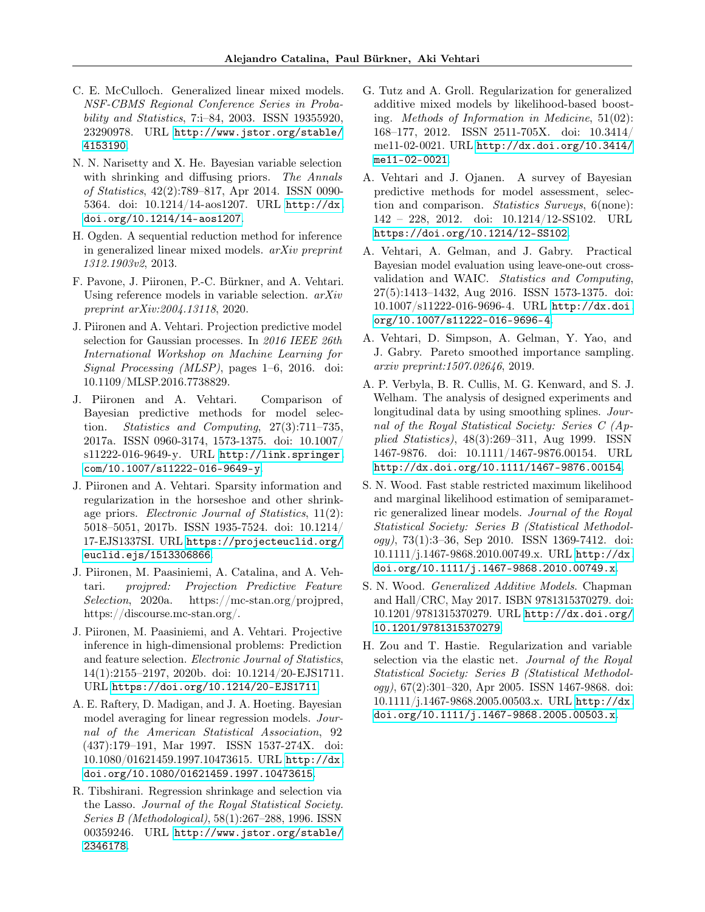- <span id="page-10-0"></span>C. E. McCulloch. Generalized linear mixed models. NSF-CBMS Regional Conference Series in Probability and Statistics, 7:i–84, 2003. ISSN 19355920, 23290978. URL [http://www.jstor.org/stable/](http://www.jstor.org/stable/4153190) [4153190](http://www.jstor.org/stable/4153190).
- <span id="page-10-10"></span>N. N. Narisetty and X. He. Bayesian variable selection with shrinking and diffusing priors. The Annals of Statistics, 42(2):789–817, Apr 2014. ISSN 0090- 5364. doi: 10.1214/14-aos1207. URL [http://dx.](http://dx.doi.org/10.1214/14-aos1207) [doi.org/10.1214/14-aos1207](http://dx.doi.org/10.1214/14-aos1207).
- <span id="page-10-14"></span>H. Ogden. A sequential reduction method for inference in generalized linear mixed models. arXiv preprint 1312.1903v2, 2013.
- <span id="page-10-4"></span>F. Pavone, J. Piironen, P.-C. Bürkner, and A. Vehtari. Using reference models in variable selection. arXiv preprint arXiv:2004.13118, 2020.
- <span id="page-10-5"></span>J. Piironen and A. Vehtari. Projection predictive model selection for Gaussian processes. In 2016 IEEE 26th International Workshop on Machine Learning for Signal Processing (MLSP), pages 1–6, 2016. doi: 10.1109/MLSP.2016.7738829.
- <span id="page-10-3"></span>J. Piironen and A. Vehtari. Comparison of Bayesian predictive methods for model selection. Statistics and Computing, 27(3):711–735, 2017a. ISSN 0960-3174, 1573-1375. doi: 10.1007/ s11222-016-9649-y. URL [http://link.springer.](http://link.springer.com/10.1007/s11222-016-9649-y) [com/10.1007/s11222-016-9649-y](http://link.springer.com/10.1007/s11222-016-9649-y).
- <span id="page-10-17"></span>J. Piironen and A. Vehtari. Sparsity information and regularization in the horseshoe and other shrinkage priors. Electronic Journal of Statistics, 11(2): 5018–5051, 2017b. ISSN 1935-7524. doi: 10.1214/ 17-EJS1337SI. URL [https://projecteuclid.org/](https://projecteuclid.org/euclid.ejs/1513306866) [euclid.ejs/1513306866](https://projecteuclid.org/euclid.ejs/1513306866).
- <span id="page-10-6"></span>J. Piironen, M. Paasiniemi, A. Catalina, and A. Vehtari. projpred: Projection Predictive Feature Selection, 2020a. https://mc-stan.org/projpred, https://discourse.mc-stan.org/.
- <span id="page-10-2"></span>J. Piironen, M. Paasiniemi, and A. Vehtari. Projective inference in high-dimensional problems: Prediction and feature selection. Electronic Journal of Statistics, 14(1):2155–2197, 2020b. doi: 10.1214/20-EJS1711. URL <https://doi.org/10.1214/20-EJS1711>.
- <span id="page-10-9"></span>A. E. Raftery, D. Madigan, and J. A. Hoeting. Bayesian model averaging for linear regression models. Journal of the American Statistical Association, 92 (437):179–191, Mar 1997. ISSN 1537-274X. doi: 10.1080/01621459.1997.10473615. URL [http://dx.](http://dx.doi.org/10.1080/01621459.1997.10473615) [doi.org/10.1080/01621459.1997.10473615](http://dx.doi.org/10.1080/01621459.1997.10473615).
- <span id="page-10-7"></span>R. Tibshirani. Regression shrinkage and selection via the Lasso. Journal of the Royal Statistical Society. Series B (Methodological), 58(1):267–288, 1996. ISSN 00359246. URL [http://www.jstor.org/stable/](http://www.jstor.org/stable/2346178) [2346178](http://www.jstor.org/stable/2346178).
- <span id="page-10-11"></span>G. Tutz and A. Groll. Regularization for generalized additive mixed models by likelihood-based boosting. Methods of Information in Medicine, 51(02): 168–177, 2012. ISSN 2511-705X. doi: 10.3414/ me11-02-0021. URL [http://dx.doi.org/10.3414/](http://dx.doi.org/10.3414/me11-02-0021) [me11-02-0021](http://dx.doi.org/10.3414/me11-02-0021).
- <span id="page-10-16"></span>A. Vehtari and J. Ojanen. A survey of Bayesian predictive methods for model assessment, selection and comparison. Statistics Surveys, 6(none): 142 – 228, 2012. doi: 10.1214/12-SS102. URL <https://doi.org/10.1214/12-SS102>.
- <span id="page-10-18"></span>A. Vehtari, A. Gelman, and J. Gabry. Practical Bayesian model evaluation using leave-one-out crossvalidation and WAIC. Statistics and Computing, 27(5):1413–1432, Aug 2016. ISSN 1573-1375. doi: 10.1007/s11222-016-9696-4. URL [http://dx.doi.](http://dx.doi.org/10.1007/s11222-016-9696-4) [org/10.1007/s11222-016-9696-4](http://dx.doi.org/10.1007/s11222-016-9696-4).
- <span id="page-10-12"></span>A. Vehtari, D. Simpson, A. Gelman, Y. Yao, and J. Gabry. Pareto smoothed importance sampling. arxiv preprint:1507.02646, 2019.
- <span id="page-10-1"></span>A. P. Verbyla, B. R. Cullis, M. G. Kenward, and S. J. Welham. The analysis of designed experiments and longitudinal data by using smoothing splines. Journal of the Royal Statistical Society: Series C (Applied Statistics), 48(3):269–311, Aug 1999. ISSN 1467-9876. doi: 10.1111/1467-9876.00154. URL <http://dx.doi.org/10.1111/1467-9876.00154>.
- <span id="page-10-15"></span>S. N. Wood. Fast stable restricted maximum likelihood and marginal likelihood estimation of semiparametric generalized linear models. Journal of the Royal Statistical Society: Series B (Statistical Methodology), 73(1):3–36, Sep 2010. ISSN 1369-7412. doi: 10.1111/j.1467-9868.2010.00749.x. URL [http://dx.](http://dx.doi.org/10.1111/j.1467-9868.2010.00749.x) [doi.org/10.1111/j.1467-9868.2010.00749.x](http://dx.doi.org/10.1111/j.1467-9868.2010.00749.x).
- <span id="page-10-13"></span>S. N. Wood. Generalized Additive Models. Chapman and Hall/CRC, May 2017. ISBN 9781315370279. doi: 10.1201/9781315370279. URL [http://dx.doi.org/](http://dx.doi.org/10.1201/9781315370279) [10.1201/9781315370279](http://dx.doi.org/10.1201/9781315370279).
- <span id="page-10-8"></span>H. Zou and T. Hastie. Regularization and variable selection via the elastic net. Journal of the Royal Statistical Society: Series B (Statistical Methodology), 67(2):301–320, Apr 2005. ISSN 1467-9868. doi: 10.1111/j.1467-9868.2005.00503.x. URL [http://dx.](http://dx.doi.org/10.1111/j.1467-9868.2005.00503.x) [doi.org/10.1111/j.1467-9868.2005.00503.x](http://dx.doi.org/10.1111/j.1467-9868.2005.00503.x).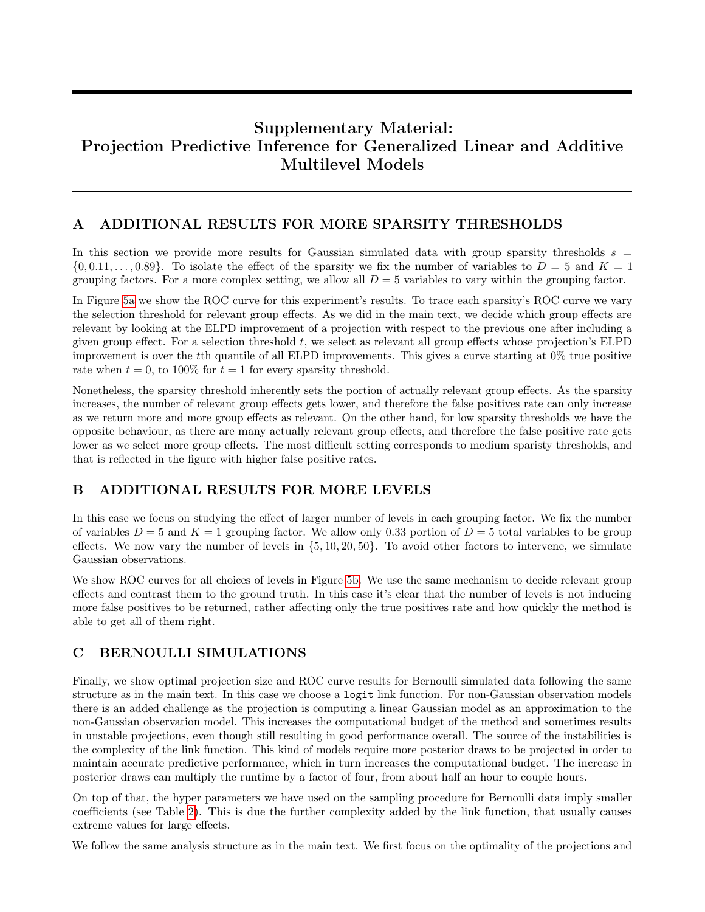# Supplementary Material: Projection Predictive Inference for Generalized Linear and Additive Multilevel Models

## <span id="page-11-0"></span>A ADDITIONAL RESULTS FOR MORE SPARSITY THRESHOLDS

In this section we provide more results for Gaussian simulated data with group sparsity thresholds  $s =$  $\{0, 0.11, \ldots, 0.89\}$ . To isolate the effect of the sparsity we fix the number of variables to  $D = 5$  and  $K = 1$ grouping factors. For a more complex setting, we allow all  $D = 5$  variables to vary within the grouping factor.

In Figure [5a](#page-12-0) we show the ROC curve for this experiment's results. To trace each sparsity's ROC curve we vary the selection threshold for relevant group effects. As we did in the main text, we decide which group effects are relevant by looking at the ELPD improvement of a projection with respect to the previous one after including a given group effect. For a selection threshold  $t$ , we select as relevant all group effects whose projection's ELPD improvement is over the tth quantile of all ELPD improvements. This gives a curve starting at 0% true positive rate when  $t = 0$ , to 100% for  $t = 1$  for every sparsity threshold.

Nonetheless, the sparsity threshold inherently sets the portion of actually relevant group effects. As the sparsity increases, the number of relevant group effects gets lower, and therefore the false positives rate can only increase as we return more and more group effects as relevant. On the other hand, for low sparsity thresholds we have the opposite behaviour, as there are many actually relevant group effects, and therefore the false positive rate gets lower as we select more group effects. The most difficult setting corresponds to medium sparisty thresholds, and that is reflected in the figure with higher false positive rates.

# B ADDITIONAL RESULTS FOR MORE LEVELS

In this case we focus on studying the effect of larger number of levels in each grouping factor. We fix the number of variables  $D = 5$  and  $K = 1$  grouping factor. We allow only 0.33 portion of  $D = 5$  total variables to be group effects. We now vary the number of levels in  $\{5, 10, 20, 50\}$ . To avoid other factors to intervene, we simulate Gaussian observations.

We show ROC curves for all choices of levels in Figure [5b.](#page-12-0) We use the same mechanism to decide relevant group effects and contrast them to the ground truth. In this case it's clear that the number of levels is not inducing more false positives to be returned, rather affecting only the true positives rate and how quickly the method is able to get all of them right.

# C BERNOULLI SIMULATIONS

Finally, we show optimal projection size and ROC curve results for Bernoulli simulated data following the same structure as in the main text. In this case we choose a logit link function. For non-Gaussian observation models there is an added challenge as the projection is computing a linear Gaussian model as an approximation to the non-Gaussian observation model. This increases the computational budget of the method and sometimes results in unstable projections, even though still resulting in good performance overall. The source of the instabilities is the complexity of the link function. This kind of models require more posterior draws to be projected in order to maintain accurate predictive performance, which in turn increases the computational budget. The increase in posterior draws can multiply the runtime by a factor of four, from about half an hour to couple hours.

On top of that, the hyper parameters we have used on the sampling procedure for Bernoulli data imply smaller coefficients (see Table [2\)](#page-12-1). This is due the further complexity added by the link function, that usually causes extreme values for large effects.

We follow the same analysis structure as in the main text. We first focus on the optimality of the projections and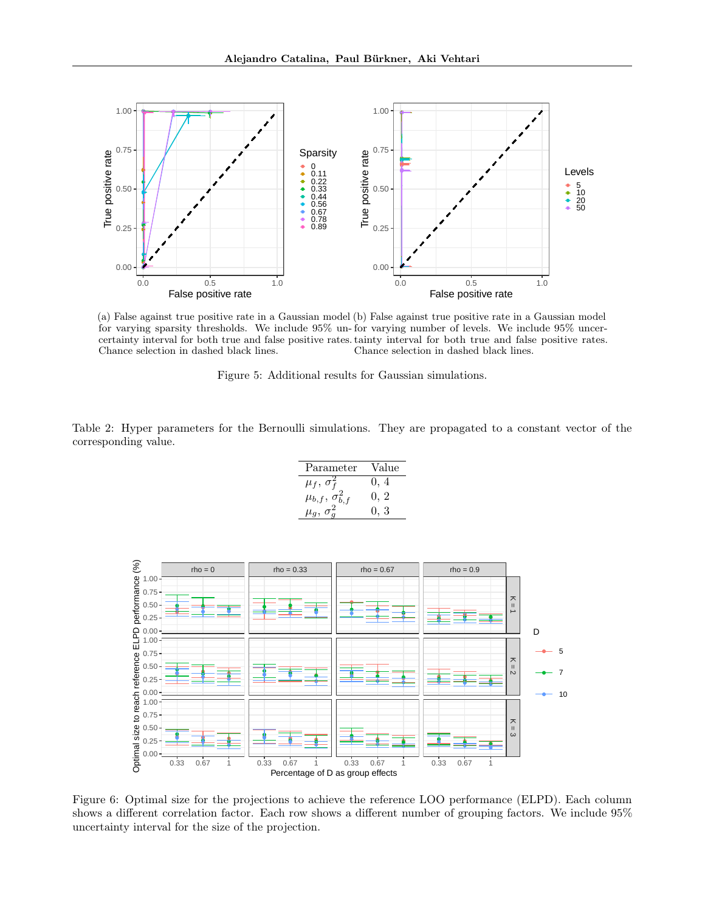<span id="page-12-0"></span>

(a) False against true positive rate in a Gaussian model (b) False against true positive rate in a Gaussian model for varying sparsity thresholds. We include 95% un-for varying number of levels. We include 95% uncercertainty interval for both true and false positive rates. tainty interval for both true and false positive rates. Chance selection in dashed black lines. Chance selection in dashed black lines.



<span id="page-12-1"></span>Table 2: Hyper parameters for the Bernoulli simulations. They are propagated to a constant vector of the corresponding value.

| Parameter                    | Value |
|------------------------------|-------|
| $\mu_f, \sigma_f^2$          | 0, 4  |
| $\mu_{b,f}, \sigma^2_{b,f}$  | 0, 2  |
| $\mu_q$<br>$\sigma_{\alpha}$ | 0, 3  |

<span id="page-12-2"></span>

Figure 6: Optimal size for the projections to achieve the reference LOO performance (ELPD). Each column shows a different correlation factor. Each row shows a different number of grouping factors. We include 95% uncertainty interval for the size of the projection.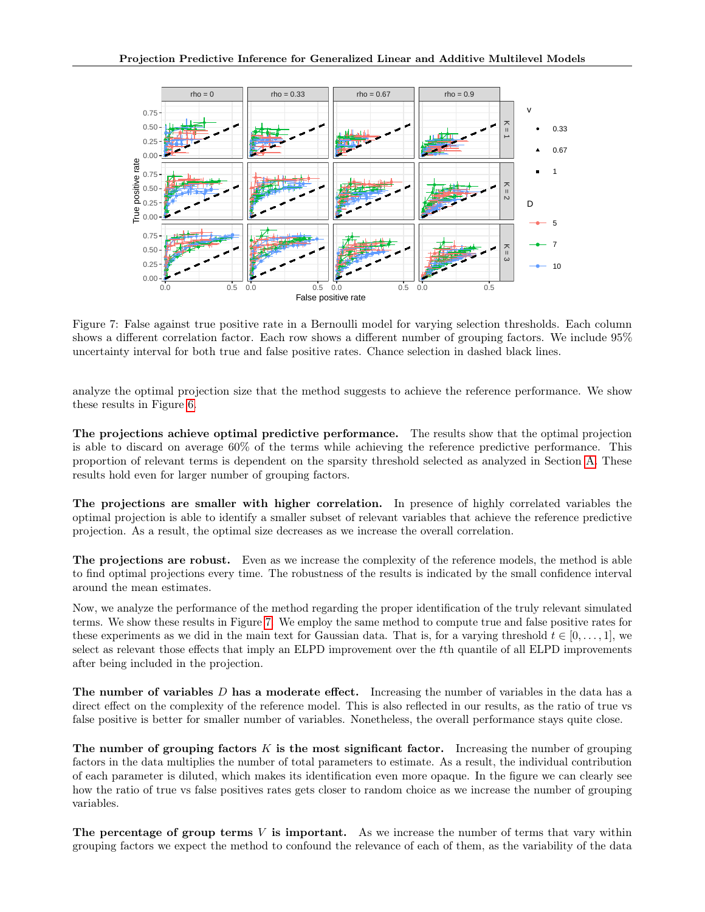<span id="page-13-0"></span>

Figure 7: False against true positive rate in a Bernoulli model for varying selection thresholds. Each column shows a different correlation factor. Each row shows a different number of grouping factors. We include 95% uncertainty interval for both true and false positive rates. Chance selection in dashed black lines.

analyze the optimal projection size that the method suggests to achieve the reference performance. We show these results in Figure [6.](#page-12-2)

The projections achieve optimal predictive performance. The results show that the optimal projection is able to discard on average 60% of the terms while achieving the reference predictive performance. This proportion of relevant terms is dependent on the sparsity threshold selected as analyzed in Section [A.](#page-11-0) These results hold even for larger number of grouping factors.

The projections are smaller with higher correlation. In presence of highly correlated variables the optimal projection is able to identify a smaller subset of relevant variables that achieve the reference predictive projection. As a result, the optimal size decreases as we increase the overall correlation.

The projections are robust. Even as we increase the complexity of the reference models, the method is able to find optimal projections every time. The robustness of the results is indicated by the small confidence interval around the mean estimates.

Now, we analyze the performance of the method regarding the proper identification of the truly relevant simulated terms. We show these results in Figure [7.](#page-13-0) We employ the same method to compute true and false positive rates for these experiments as we did in the main text for Gaussian data. That is, for a varying threshold  $t \in [0, \ldots, 1]$ , we select as relevant those effects that imply an ELPD improvement over the tth quantile of all ELPD improvements after being included in the projection.

The number of variables  $D$  has a moderate effect. Increasing the number of variables in the data has a direct effect on the complexity of the reference model. This is also reflected in our results, as the ratio of true vs false positive is better for smaller number of variables. Nonetheless, the overall performance stays quite close.

The number of grouping factors  $K$  is the most significant factor. Increasing the number of grouping factors in the data multiplies the number of total parameters to estimate. As a result, the individual contribution of each parameter is diluted, which makes its identification even more opaque. In the figure we can clearly see how the ratio of true vs false positives rates gets closer to random choice as we increase the number of grouping variables.

The percentage of group terms  $V$  is important. As we increase the number of terms that vary within grouping factors we expect the method to confound the relevance of each of them, as the variability of the data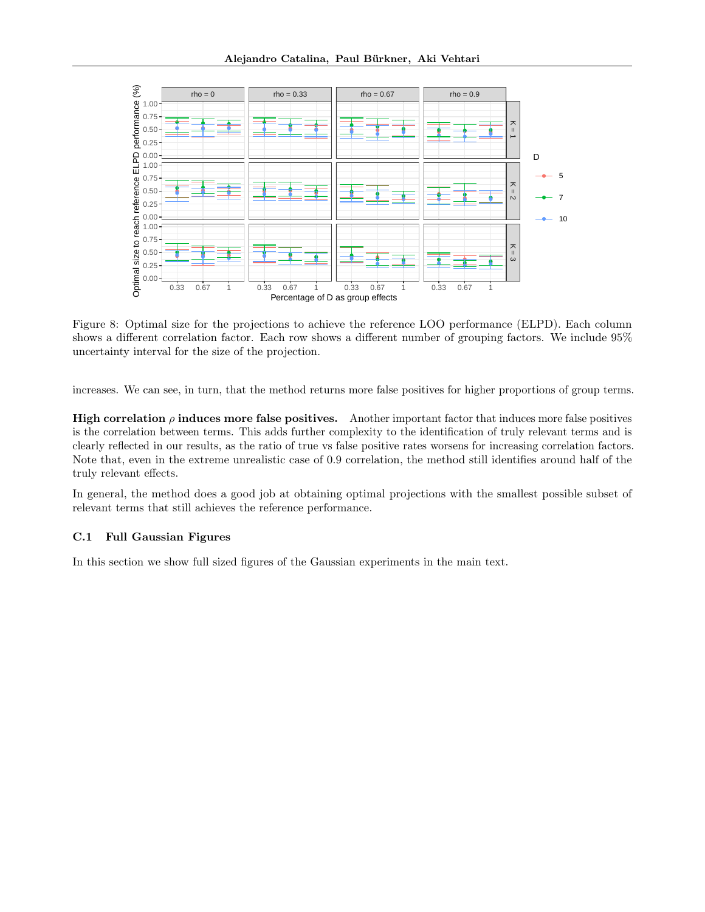

Figure 8: Optimal size for the projections to achieve the reference LOO performance (ELPD). Each column shows a different correlation factor. Each row shows a different number of grouping factors. We include 95% uncertainty interval for the size of the projection.

increases. We can see, in turn, that the method returns more false positives for higher proportions of group terms.

High correlation  $\rho$  induces more false positives. Another important factor that induces more false positives is the correlation between terms. This adds further complexity to the identification of truly relevant terms and is clearly reflected in our results, as the ratio of true vs false positive rates worsens for increasing correlation factors. Note that, even in the extreme unrealistic case of 0.9 correlation, the method still identifies around half of the truly relevant effects.

In general, the method does a good job at obtaining optimal projections with the smallest possible subset of relevant terms that still achieves the reference performance.

### C.1 Full Gaussian Figures

In this section we show full sized figures of the Gaussian experiments in the main text.